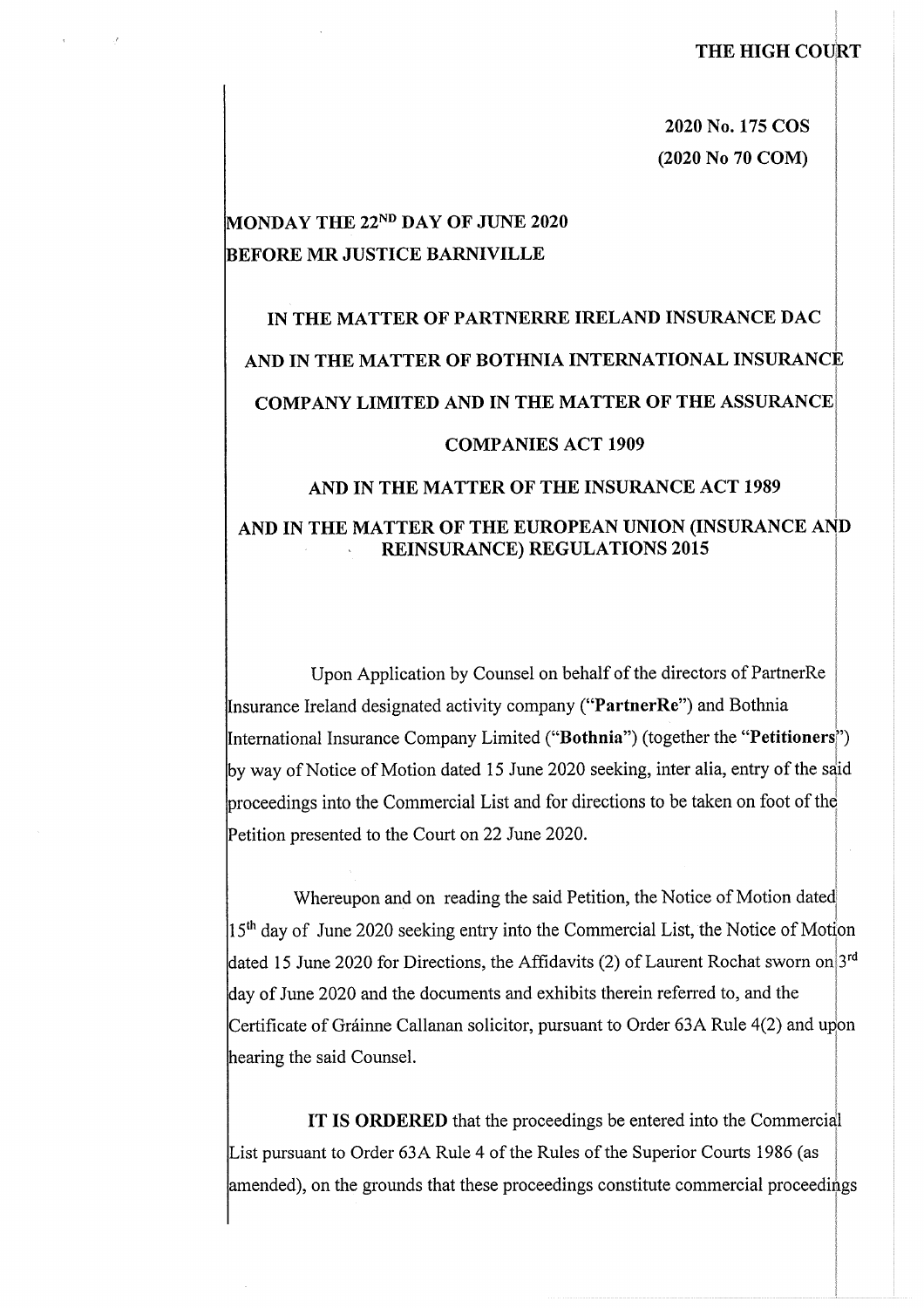**2020 No. 175 COS (2020 No 70 COM)**

## **MONDAY THE 22nd DAY OF JUNE 2020 BEFORE MR JUSTICE BARNIVILLE**

# **IN THE MATTER OF PARTNERRE IRELAND INSURANCE DAC AND IN THE MATTER OF BOTHNIA INTERNATIONAL INSURANCE COMPANY LIMITED AND IN THE MATTER OF THE ASSURANCE COMPANIES ACT 1909 AND IN THE MATTER OF THE INSURANCE ACT 1989**

## **AND IN THE MATTER OF THE EUROPEAN UNION (INSURANCE AN D REINSURANCE) REGULATIONS 2015**

Upon Application by Counsel on behalf of the directors of PartnerRe Insurance Ireland designated activity company **("PartnerRe")** and Bothnia International Insurance Company Limited **("Bothnia")** (together the **"Petitioners ")** by way of Notice of Motion dated 15 June 2020 seeking, inter alia, entry of the said proceedings into the Commercial List and for directions to be taken on foot of the Petition presented to the Court on 22 June 2020.

Whereupon and on reading the said Petition, the Notice of Motion dated  $15<sup>th</sup>$  day of June 2020 seeking entry into the Commercial List, the Notice of Motion dated 15 June 2020 for Directions, the Affidavits (2) of Laurent Rochat sworn on 3<sup>rd</sup> day of June 2020 and the documents and exhibits therein referred to, and the Certificate of Gráinne Callanan solicitor, pursuant to Order 63A Rule 4(2) and upon hearing the said Counsel.

**IT IS ORDERED** that the proceedings be entered into the Commercial List pursuant to Order 63A Rule 4 of the Rules of the Superior Courts 1986 (as amended), on the grounds that these proceedings constitute commercial proceedings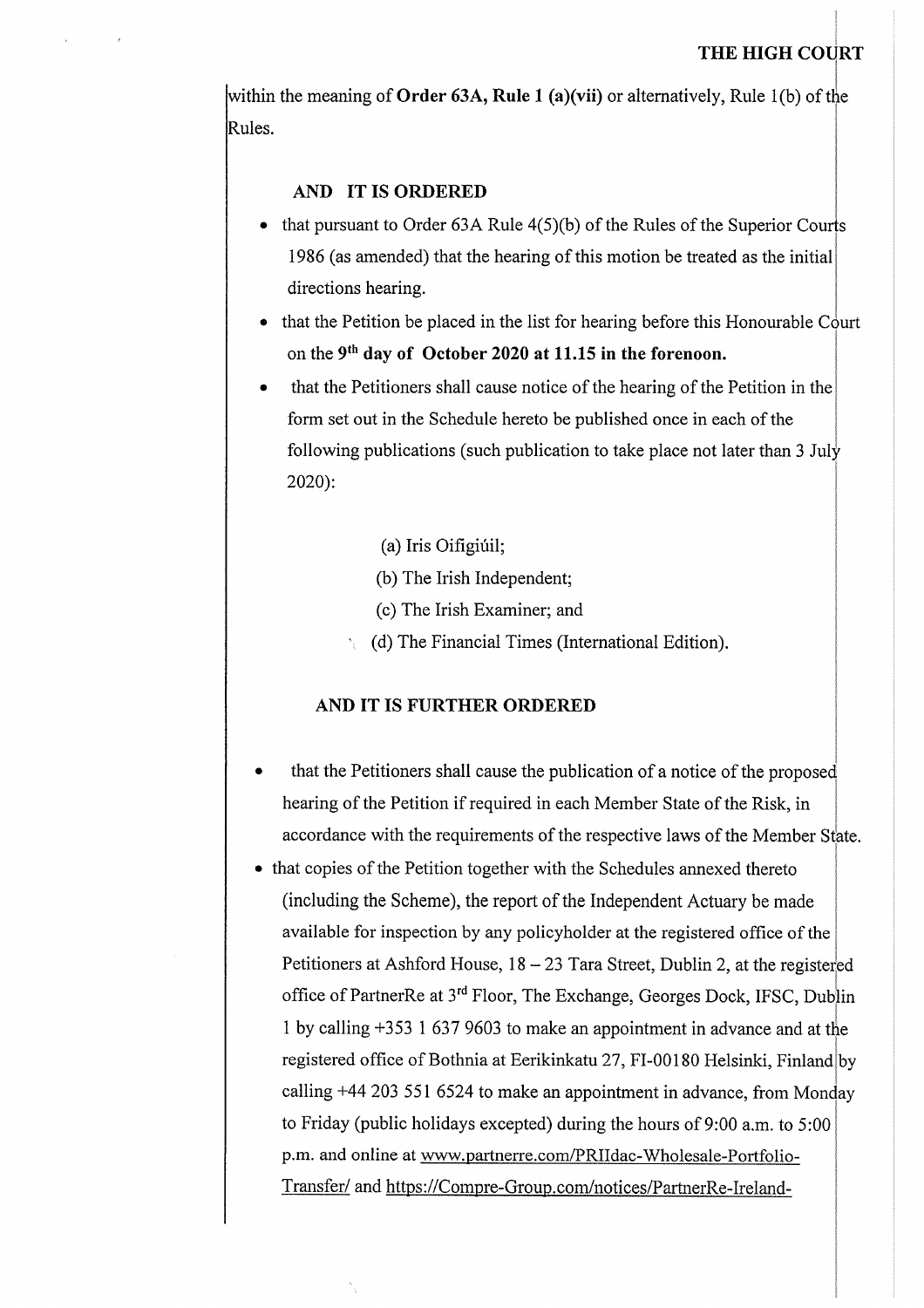## **THE HIGH COURT**

within the meaning of **Order** 63A, Rule 1 (a)(vii) or alternatively, Rule 1(b) of the Rules.

#### **AND IT IS ORDERED**

- that pursuant to Order  $63A$  Rule  $4(5)(b)$  of the Rules of the Superior Courts 1986 (as amended) that the hearing of this motion be treated as the initial directions hearing.
- that the Petition be placed in the list for hearing before this Honourable Court on the **9th day of October 2020 at 11.15 in the forenoon.**
- that the Petitioners shall cause notice of the hearing of the Petition in the form set out in the Schedule hereto be published once in each of the following publications (such publication to take place not later than 3 July 2020):

(a) Iris Oifigiúil;

- (b) The Irish Independent;
- (c) The Irish Examiner; and
- (d) The Financial Times (International Edition).

#### AND IT IS FURTHER ORDERED

- •that the Petitioners shall cause the publication of a notice of the proposed hearing of the Petition if required in each Member State of the Risk, in accordance with the requirements of the respective laws of the Member State.
- that copies of the Petition together with the Schedules annexed thereto (including the Scheme), the report of the Independent Actuary be made available for inspection by any policyholder at the registered office of the Petitioners at Ashford House,  $18 - 23$  Tara Street, Dublin 2, at the registered office of PartnerRe at 3<sup>rd</sup> Floor, The Exchange, Georges Dock, IFSC, Dublin 1 by calling +353 1 637 9603 to make an appointment in advance and at tie registered office of Bothnia at Eerikinkatu 27, FI-00180 Helsinki, Finland by calling +44 203 551 6524 to make an appointment in advance, from Monday to Friday (public holidays excepted) during the hours of  $9:00$  a.m. to  $5:00$ p.m. and online at www.partnerre.com/PRIIdac-Wholesale-Portfolio-Transfer/ and https://Compre-Group.com/notices/PartnerRe-Ireland-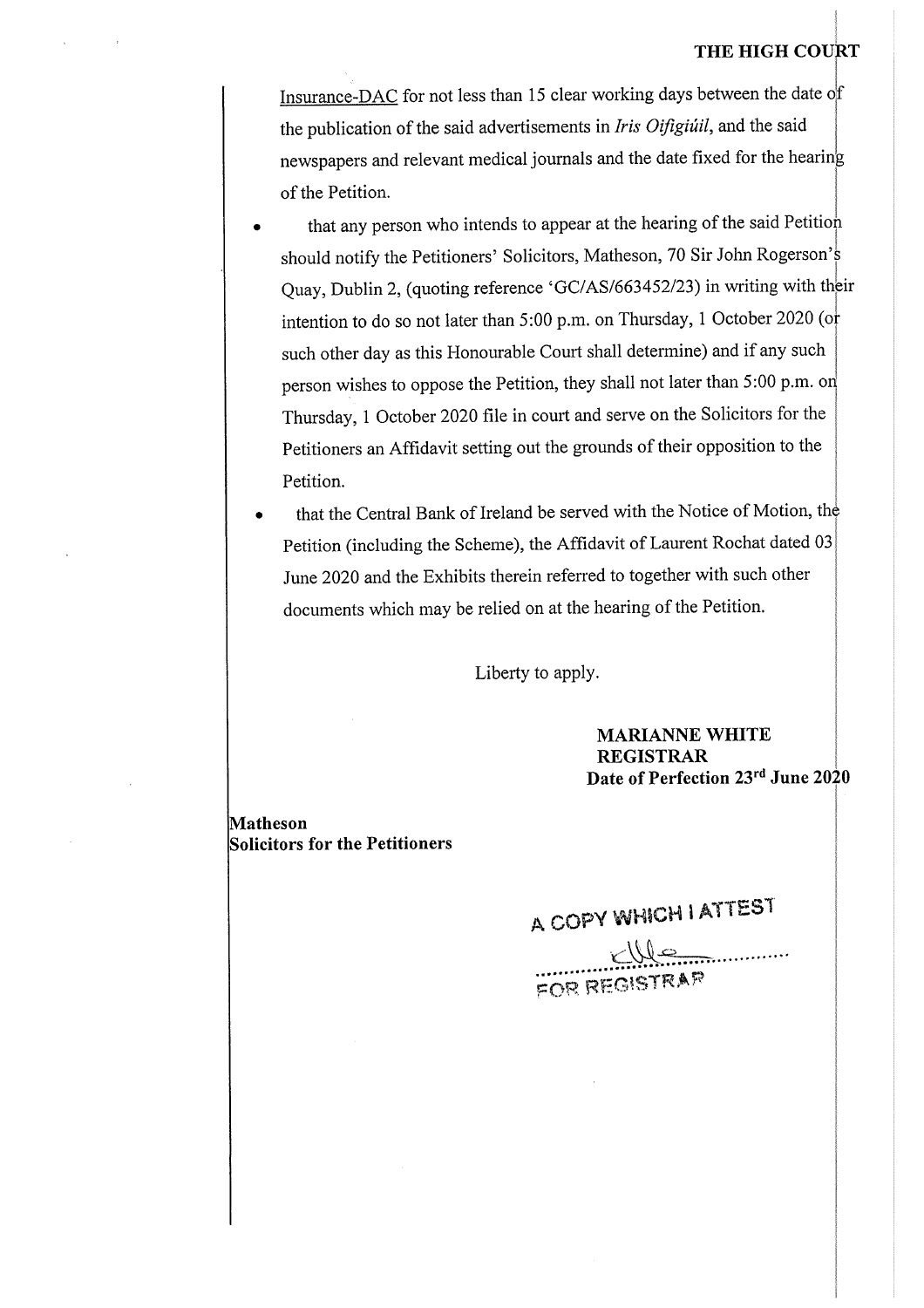#### **THE HIGH COURT**

Insurance-DAC for not less than <sup>15</sup> clear working days between the date of the publication ofthe said advertisements in *Iris Oifigiuil,* and the said newspapers and relevant medical journals and the date fixed for the hearing of the Petition.

- •that any person who intends to appear at the hearing of the said Petition should notify the Petitioners' Solicitors, Matheson, <sup>70</sup> Sir John Rogerson'<sup>s</sup> Quay, Dublin 2, (quoting reference 'GC/AS/663452/23) in writing with thbir intention to do so not later than 5:00 p.m. on Thursday, <sup>1</sup> October <sup>2020</sup> (or such other day as this Honourable Court shall determine) and if any such person wishes to oppose the Petition, they shall not later than 5:00 p.m. on Thursday, <sup>1</sup> October <sup>2020</sup> file in court and serve on the Solicitors for the Petitioners an Affidavit setting out the grounds of their opposition to the Petition.
- •that the Central Bank of Ireland be served with the Notice of Motion, the Petition (including the Scheme), the Affidavit of Laurent Rochat dated 03 June 2020 and the Exhibits therein referred to together with such other documents which may be relied on at the hearing of the Petition.

Liberty to apply.

**MARIANNE WHITE REGISTRAR Date of Perfection 23rd June 2020**

**Matheson Solicitors for the Petitioners**

 $A$  COPY WHICH I ATTEST

........**<sup>&</sup>lt; A—,..**....... foh, registrar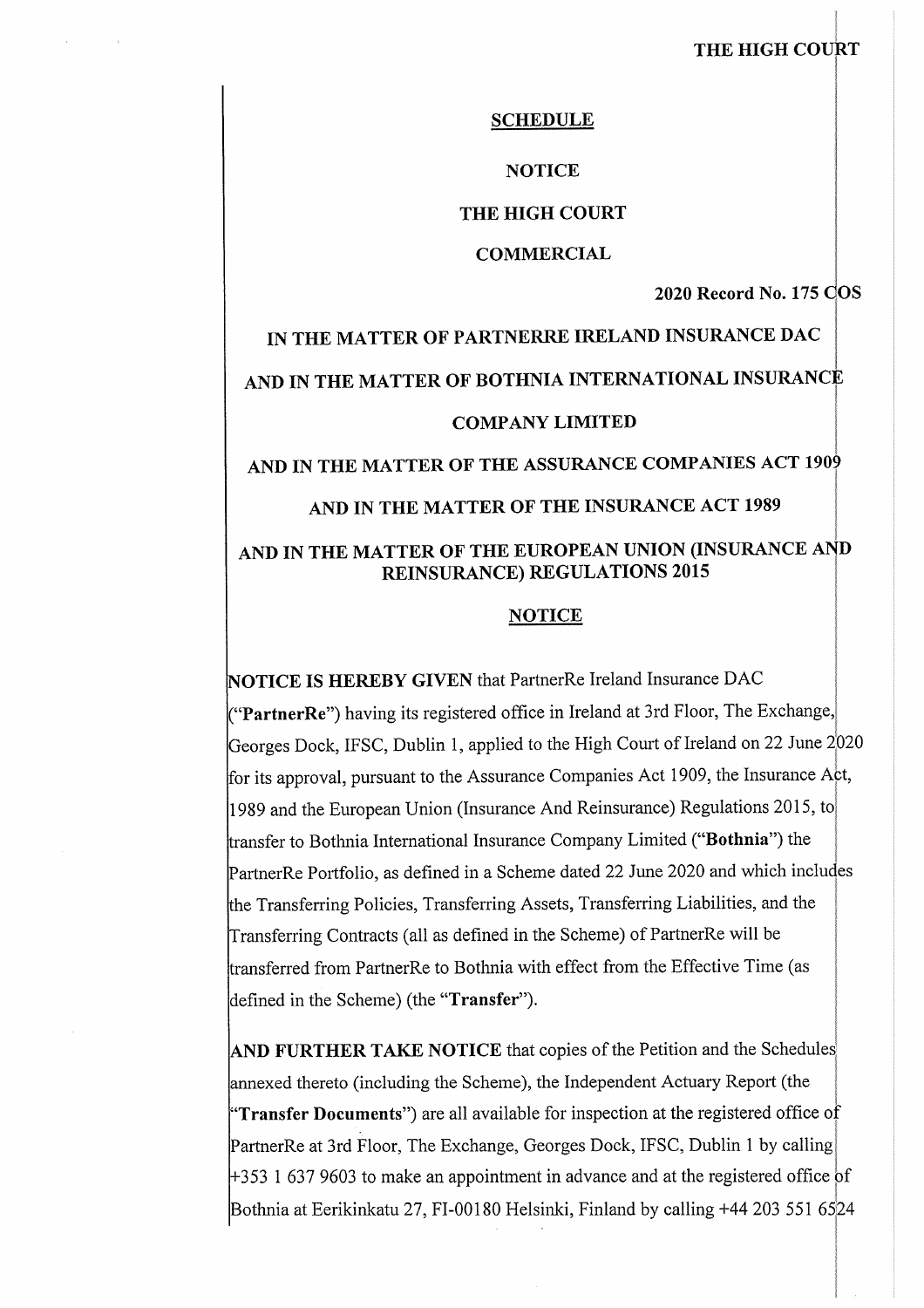### **THE HIGH COURT**

#### **SCHEDULE**

#### **NOTICE**

#### **THE HIGH COURT**

#### **COMMERCIAL**

**2020 Record No. 175** C**OS**

# IN THE MATTER OF PARTNERRE IRELAND INSURANCE DAC AND IN THE MATTER OF BOTHNIA INTERNATIONAL INSURANCE COMPANYLIMITED **AND IN THE MATTER OF THE ASSURANCE COMPANIES ACT 1909**

### **AND IN THE MATTER OF THE INSURANCE ACT 1989**

## **AND IN THE MATTER OF THE EUROPEAN UNION (INSURANCE AND REINSURANCE) REGULATIONS 2015**

#### **NOTICE**

**NOTICE IS HEREBY GIVEN** that PartnerRe Ireland Insurance DAC **("PartnerRe")** having its registered office in Ireland at 3rd Floor, The Exchange,; Georges Dock, IFSC, Dublin 1, applied to the High Court of Ireland on 22 June 2020 for its approval, pursuant to the Assurance Companies Act 1909, the Insurance Act, <sup>1989</sup> and the European Union (Insurance And Reinsurance) Regulations 2015, to! transfer to Bothnia International Insurance Company Limited **("Bothnia")** the j PartnerRe Portfolio, as defined in <sup>a</sup> Scheme dated 22 June 2020 and which includes the Transferring Policies, Transferring Assets, Transferring Liabilities, and the Transferring Contracts (all as defined in the Scheme) of PartnerRe will be transferred from PartnerRe to Bothnia with effect from the Effective Time (as defined in the Scheme) (the **"Transfer").**

**AND FURTHER TAKE NOTICE** that copies of the Petition and the Schedules annexed thereto (including the Scheme), the Independent Actuary Report (the **"Transfer Documents")** are all available for inspection at the registered office of PartnerRe at 3rd Floor, The Exchange, Georges Dock, IFSC, Dublin <sup>1</sup> by calling  $+353$  1 637 9603 to make an appointment in advance and at the registered office of Bothnia at Eerikinkatu 27, FI-00180 Helsinki, Finland by calling +44 203 551 6524